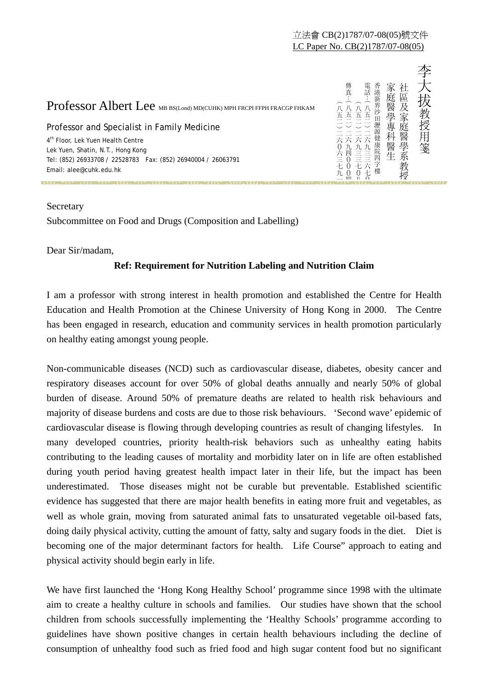

## Secretary

Subcommittee on Food and Drugs (Composition and Labelling)

Dear Sir/madam,

## **Ref: Requirement for Nutrition Labeling and Nutrition Claim**

I am a professor with strong interest in health promotion and established the Centre for Health Education and Health Promotion at the Chinese University of Hong Kong in 2000. The Centre has been engaged in research, education and community services in health promotion particularly on healthy eating amongst young people.

Non-communicable diseases (NCD) such as cardiovascular disease, diabetes, obesity cancer and respiratory diseases account for over 50% of global deaths annually and nearly 50% of global burden of disease. Around 50% of premature deaths are related to health risk behaviours and majority of disease burdens and costs are due to those risk behaviours. 'Second wave' epidemic of cardiovascular disease is flowing through developing countries as result of changing lifestyles. In many developed countries, priority health-risk behaviors such as unhealthy eating habits contributing to the leading causes of mortality and morbidity later on in life are often established during youth period having greatest health impact later in their life, but the impact has been underestimated. Those diseases might not be curable but preventable. Established scientific evidence has suggested that there are major health benefits in eating more fruit and vegetables, as well as whole grain, moving from saturated animal fats to unsaturated vegetable oil-based fats, doing daily physical activity, cutting the amount of fatty, salty and sugary foods in the diet. Diet is becoming one of the major determinant factors for health. Life Course" approach to eating and physical activity should begin early in life. **Professor Albert Lee sustaneon consumerent for units are a significant professor and specialist in family Medicine<br>
Professor and specialist in family Medicine<br> \frac{5}{2} \times \frac{5}{2} \times \frac{5}{2} \times \frac{5}{2} \times \frac{5}{2} \times \frac{5}{2} \times \frac{5** 

We have first launched the 'Hong Kong Healthy School' programme since 1998 with the ultimate aim to create a healthy culture in schools and families. Our studies have shown that the school children from schools successfully implementing the 'Healthy Schools' programme according to guidelines have shown positive changes in certain health behaviours including the decline of